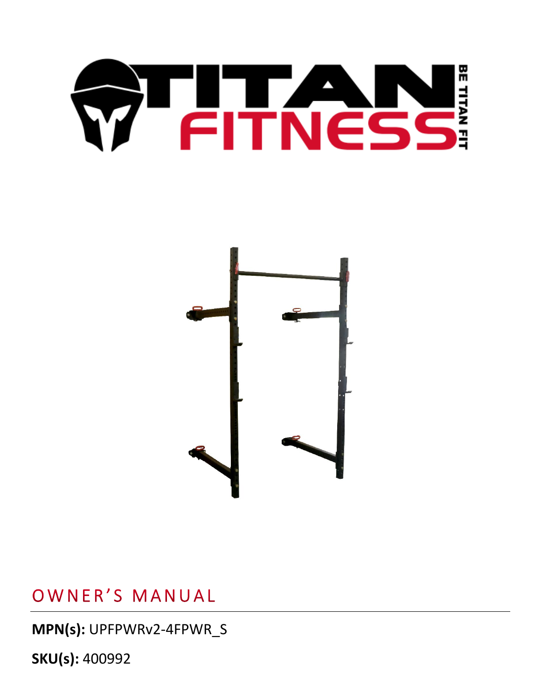# OF PITNESS



OWNER'S MANUAL

**MPN(s):** UPFPWRv2-4FPWR\_S

**SKU(s):** 400992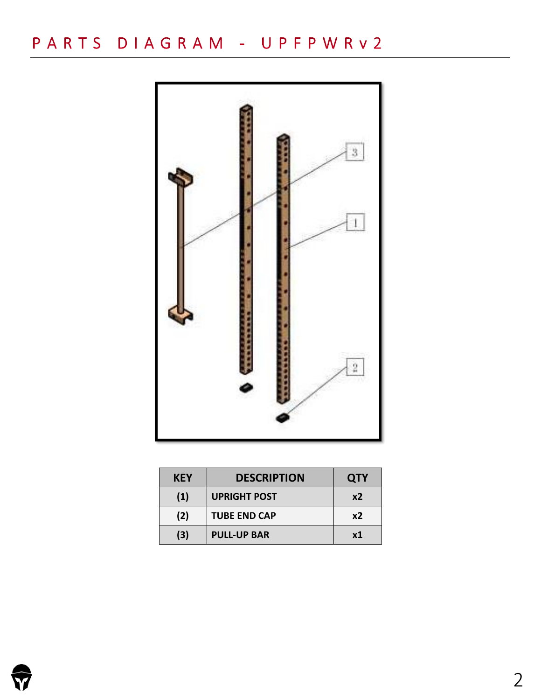# PARTS DIAGRAM - UPFPWRv2



| <b>KEY</b> | <b>DESCRIPTION</b>  | <b>QTY</b> |
|------------|---------------------|------------|
| (1)        | <b>UPRIGHT POST</b> | x2         |
| (2)        | <b>TUBE END CAP</b> | x2         |
| (3)        | <b>PULL-UP BAR</b>  | x1         |

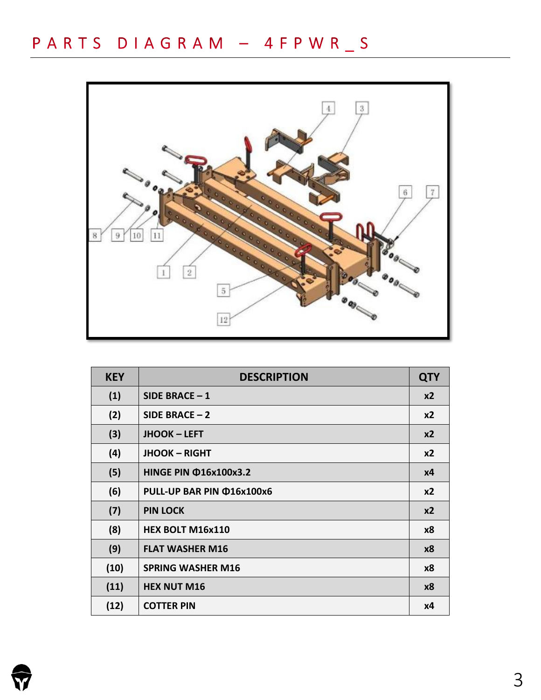

| <b>KEY</b> | <b>DESCRIPTION</b>           |                |
|------------|------------------------------|----------------|
| (1)        | SIDE BRACE $-1$              | x2             |
| (2)        | SIDE BRACE $-2$              | x <sub>2</sub> |
| (3)        | <b>JHOOK - LEFT</b>          | x <sub>2</sub> |
| (4)        | <b>JHOOK - RIGHT</b>         | x2             |
| (5)        | <b>HINGE PIN @16x100x3.2</b> | x4             |
| (6)        | PULL-UP BAR PIN @16x100x6    | $x^2$          |
| (7)        | <b>PIN LOCK</b>              | x <sub>2</sub> |
| (8)        | HEX BOLT M16x110             | x8             |
| (9)        | <b>FLAT WASHER M16</b>       | <b>x8</b>      |
| (10)       | <b>SPRING WASHER M16</b>     | <b>x8</b>      |
| (11)       | <b>HEX NUT M16</b>           | x8             |
| (12)       | <b>COTTER PIN</b>            | <b>x4</b>      |